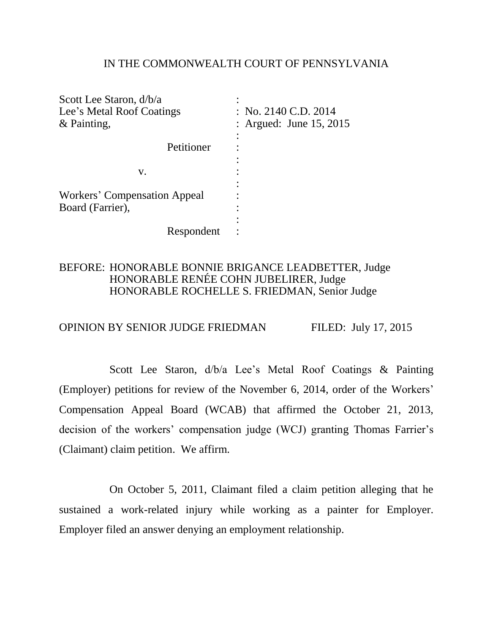### IN THE COMMONWEALTH COURT OF PENNSYLVANIA

| : No. 2140 C.D. 2014      |
|---------------------------|
| : Argued: June $15, 2015$ |
|                           |
|                           |
|                           |
|                           |
|                           |
|                           |
|                           |
|                           |
|                           |
|                           |

## BEFORE: HONORABLE BONNIE BRIGANCE LEADBETTER, Judge HONORABLE RENÉE COHN JUBELIRER, Judge HONORABLE ROCHELLE S. FRIEDMAN, Senior Judge

# OPINION BY SENIOR JUDGE FRIEDMAN FILED: July 17, 2015

Scott Lee Staron, d/b/a Lee's Metal Roof Coatings & Painting (Employer) petitions for review of the November 6, 2014, order of the Workers' Compensation Appeal Board (WCAB) that affirmed the October 21, 2013, decision of the workers' compensation judge (WCJ) granting Thomas Farrier's (Claimant) claim petition. We affirm.

On October 5, 2011, Claimant filed a claim petition alleging that he sustained a work-related injury while working as a painter for Employer. Employer filed an answer denying an employment relationship.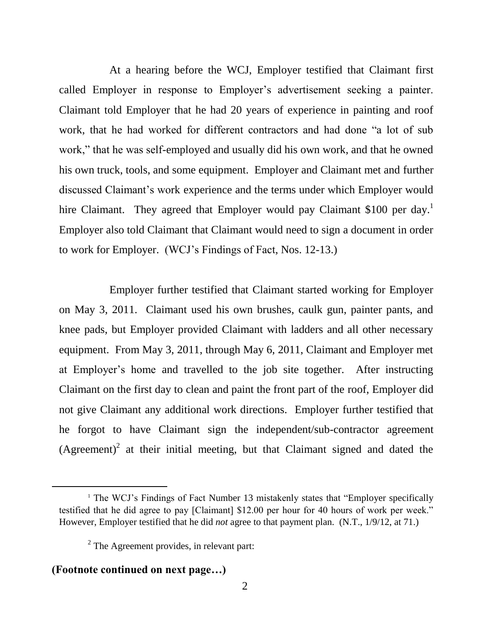At a hearing before the WCJ, Employer testified that Claimant first called Employer in response to Employer's advertisement seeking a painter. Claimant told Employer that he had 20 years of experience in painting and roof work, that he had worked for different contractors and had done "a lot of sub work," that he was self-employed and usually did his own work, and that he owned his own truck, tools, and some equipment. Employer and Claimant met and further discussed Claimant's work experience and the terms under which Employer would hire Claimant. They agreed that Employer would pay Claimant \$100 per day.<sup>1</sup> Employer also told Claimant that Claimant would need to sign a document in order to work for Employer. (WCJ's Findings of Fact, Nos. 12-13.)

Employer further testified that Claimant started working for Employer on May 3, 2011. Claimant used his own brushes, caulk gun, painter pants, and knee pads, but Employer provided Claimant with ladders and all other necessary equipment. From May 3, 2011, through May 6, 2011, Claimant and Employer met at Employer's home and travelled to the job site together. After instructing Claimant on the first day to clean and paint the front part of the roof, Employer did not give Claimant any additional work directions. Employer further testified that he forgot to have Claimant sign the independent/sub-contractor agreement (Agreement)<sup>2</sup> at their initial meeting, but that Claimant signed and dated the

# **(Footnote continued on next page…)**

<sup>&</sup>lt;sup>1</sup> The WCJ's Findings of Fact Number 13 mistakenly states that "Employer specifically testified that he did agree to pay [Claimant] \$12.00 per hour for 40 hours of work per week." However, Employer testified that he did *not* agree to that payment plan. (N.T., 1/9/12, at 71.)

 $2$  The Agreement provides, in relevant part: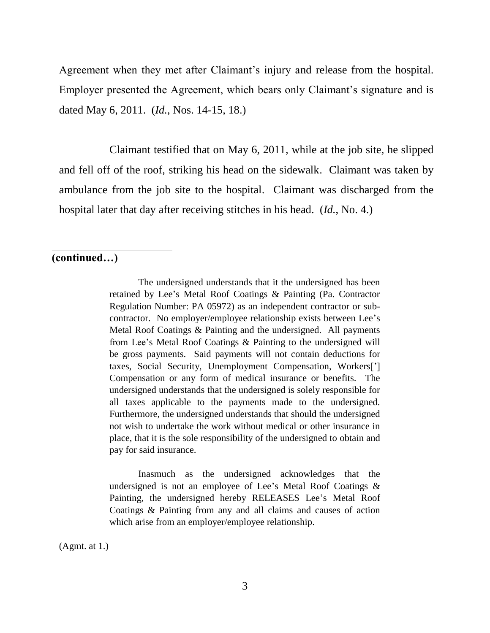Agreement when they met after Claimant's injury and release from the hospital. Employer presented the Agreement, which bears only Claimant's signature and is dated May 6, 2011. (*Id.*, Nos. 14-15, 18.)

Claimant testified that on May 6, 2011, while at the job site, he slipped and fell off of the roof, striking his head on the sidewalk. Claimant was taken by ambulance from the job site to the hospital. Claimant was discharged from the hospital later that day after receiving stitches in his head. (*Id.*, No. 4.)

## **(continued…)**

 $\overline{a}$ 

The undersigned understands that it the undersigned has been retained by Lee's Metal Roof Coatings & Painting (Pa. Contractor Regulation Number: PA 05972) as an independent contractor or subcontractor. No employer/employee relationship exists between Lee's Metal Roof Coatings & Painting and the undersigned. All payments from Lee's Metal Roof Coatings & Painting to the undersigned will be gross payments. Said payments will not contain deductions for taxes, Social Security, Unemployment Compensation, Workers['] Compensation or any form of medical insurance or benefits. The undersigned understands that the undersigned is solely responsible for all taxes applicable to the payments made to the undersigned. Furthermore, the undersigned understands that should the undersigned not wish to undertake the work without medical or other insurance in place, that it is the sole responsibility of the undersigned to obtain and pay for said insurance.

Inasmuch as the undersigned acknowledges that the undersigned is not an employee of Lee's Metal Roof Coatings & Painting, the undersigned hereby RELEASES Lee's Metal Roof Coatings & Painting from any and all claims and causes of action which arise from an employer/employee relationship.

(Agmt. at 1.)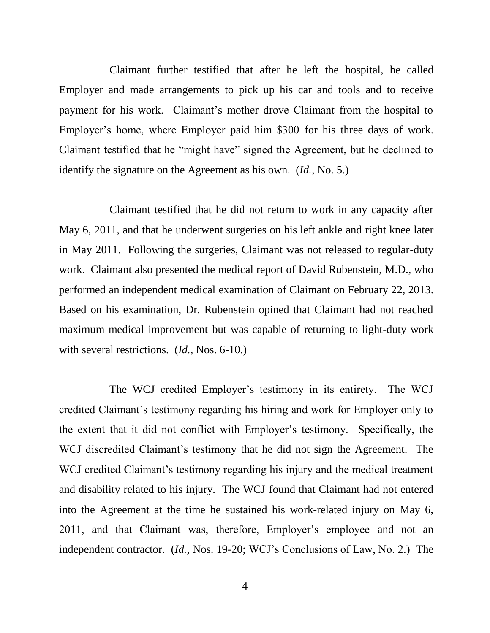Claimant further testified that after he left the hospital, he called Employer and made arrangements to pick up his car and tools and to receive payment for his work. Claimant's mother drove Claimant from the hospital to Employer's home, where Employer paid him \$300 for his three days of work. Claimant testified that he "might have" signed the Agreement, but he declined to identify the signature on the Agreement as his own. (*Id.*, No. 5.)

Claimant testified that he did not return to work in any capacity after May 6, 2011, and that he underwent surgeries on his left ankle and right knee later in May 2011. Following the surgeries, Claimant was not released to regular-duty work. Claimant also presented the medical report of David Rubenstein, M.D., who performed an independent medical examination of Claimant on February 22, 2013. Based on his examination, Dr. Rubenstein opined that Claimant had not reached maximum medical improvement but was capable of returning to light-duty work with several restrictions. (*Id.*, Nos. 6-10.)

The WCJ credited Employer's testimony in its entirety. The WCJ credited Claimant's testimony regarding his hiring and work for Employer only to the extent that it did not conflict with Employer's testimony. Specifically, the WCJ discredited Claimant's testimony that he did not sign the Agreement. The WCJ credited Claimant's testimony regarding his injury and the medical treatment and disability related to his injury. The WCJ found that Claimant had not entered into the Agreement at the time he sustained his work-related injury on May 6, 2011, and that Claimant was, therefore, Employer's employee and not an independent contractor. (*Id.*, Nos. 19-20; WCJ's Conclusions of Law, No. 2.) The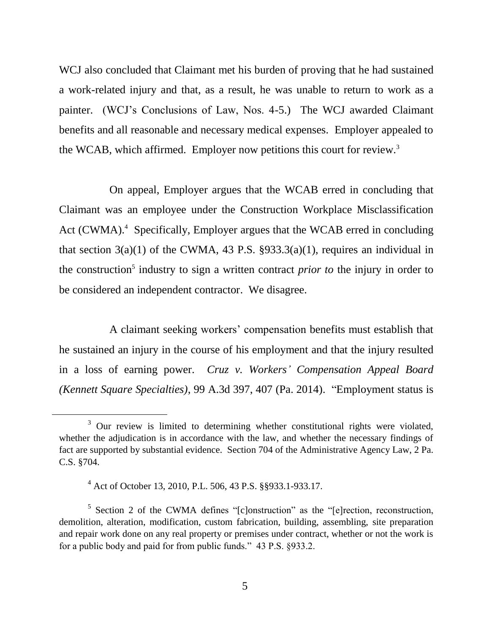WCJ also concluded that Claimant met his burden of proving that he had sustained a work-related injury and that, as a result, he was unable to return to work as a painter. (WCJ's Conclusions of Law, Nos. 4-5.) The WCJ awarded Claimant benefits and all reasonable and necessary medical expenses. Employer appealed to the WCAB, which affirmed. Employer now petitions this court for review.<sup>3</sup>

On appeal, Employer argues that the WCAB erred in concluding that Claimant was an employee under the Construction Workplace Misclassification Act (CWMA).<sup>4</sup> Specifically, Employer argues that the WCAB erred in concluding that section  $3(a)(1)$  of the CWMA, 43 P.S.  $\S 933.3(a)(1)$ , requires an individual in the construction<sup>5</sup> industry to sign a written contract *prior to* the injury in order to be considered an independent contractor. We disagree.

A claimant seeking workers' compensation benefits must establish that he sustained an injury in the course of his employment and that the injury resulted in a loss of earning power. *Cruz v. Workers' Compensation Appeal Board (Kennett Square Specialties)*, 99 A.3d 397, 407 (Pa. 2014). "Employment status is

<sup>&</sup>lt;sup>3</sup> Our review is limited to determining whether constitutional rights were violated, whether the adjudication is in accordance with the law, and whether the necessary findings of fact are supported by substantial evidence. Section 704 of the Administrative Agency Law, 2 Pa. C.S. §704.

<sup>4</sup> Act of October 13, 2010, P.L. 506, 43 P.S. §§933.1-933.17.

<sup>&</sup>lt;sup>5</sup> Section 2 of the CWMA defines "[c]onstruction" as the "[e]rection, reconstruction, demolition, alteration, modification, custom fabrication, building, assembling, site preparation and repair work done on any real property or premises under contract, whether or not the work is for a public body and paid for from public funds." 43 P.S. §933.2.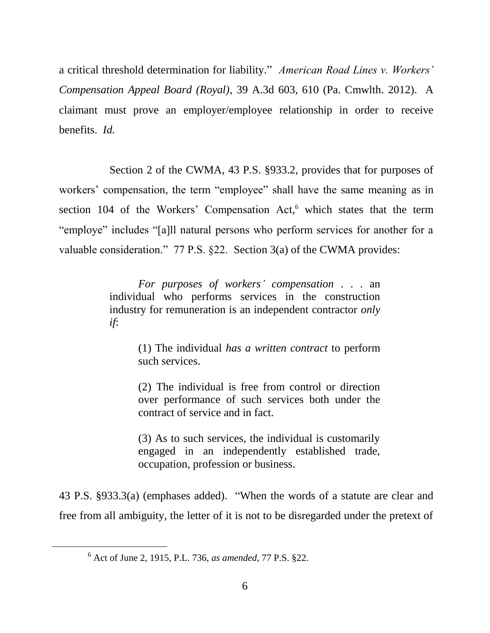a critical threshold determination for liability." *American Road Lines v. Workers' Compensation Appeal Board (Royal)*, 39 A.3d 603, 610 (Pa. Cmwlth. 2012). A claimant must prove an employer/employee relationship in order to receive benefits. *Id.*

Section 2 of the CWMA, 43 P.S. §933.2, provides that for purposes of workers' compensation, the term "employee" shall have the same meaning as in section 104 of the Workers' Compensation Act,<sup>6</sup> which states that the term "employe" includes "[a]ll natural persons who perform services for another for a valuable consideration." 77 P.S. §22. Section 3(a) of the CWMA provides:

> *For purposes of workers' compensation* . . . an individual who performs services in the construction industry for remuneration is an independent contractor *only if*:

> > (1) The individual *has a written contract* to perform such services.

> > (2) The individual is free from control or direction over performance of such services both under the contract of service and in fact.

> > (3) As to such services, the individual is customarily engaged in an independently established trade, occupation, profession or business.

43 P.S. §933.3(a) (emphases added). "When the words of a statute are clear and free from all ambiguity, the letter of it is not to be disregarded under the pretext of

<sup>6</sup> Act of June 2, 1915, P.L. 736, *as amended*, 77 P.S. §22.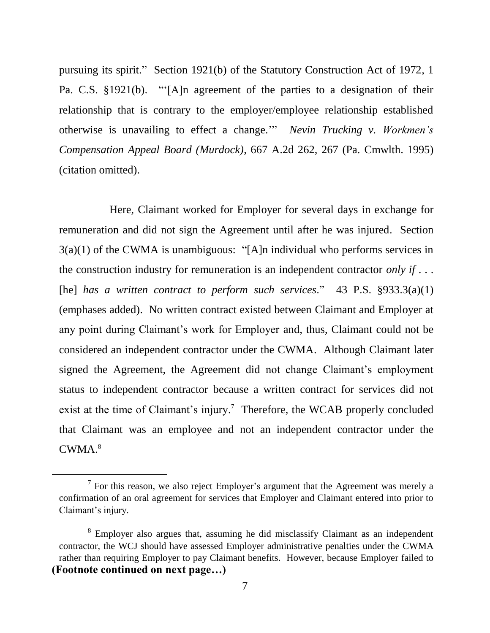pursuing its spirit." Section 1921(b) of the Statutory Construction Act of 1972, 1 Pa. C.S. §1921(b). "'[A]n agreement of the parties to a designation of their relationship that is contrary to the employer/employee relationship established otherwise is unavailing to effect a change.'" *Nevin Trucking v. Workmen's Compensation Appeal Board (Murdock)*, 667 A.2d 262, 267 (Pa. Cmwlth. 1995) (citation omitted).

Here, Claimant worked for Employer for several days in exchange for remuneration and did not sign the Agreement until after he was injured. Section 3(a)(1) of the CWMA is unambiguous: "[A]n individual who performs services in the construction industry for remuneration is an independent contractor *only if* . . . [he] *has a written contract to perform such services*." 43 P.S. §933.3(a)(1) (emphases added). No written contract existed between Claimant and Employer at any point during Claimant's work for Employer and, thus, Claimant could not be considered an independent contractor under the CWMA. Although Claimant later signed the Agreement, the Agreement did not change Claimant's employment status to independent contractor because a written contract for services did not exist at the time of Claimant's injury.<sup>7</sup> Therefore, the WCAB properly concluded that Claimant was an employee and not an independent contractor under the CWMA. 8

 $<sup>7</sup>$  For this reason, we also reject Employer's argument that the Agreement was merely a</sup> confirmation of an oral agreement for services that Employer and Claimant entered into prior to Claimant's injury.

<sup>&</sup>lt;sup>8</sup> Employer also argues that, assuming he did misclassify Claimant as an independent contractor, the WCJ should have assessed Employer administrative penalties under the CWMA rather than requiring Employer to pay Claimant benefits. However, because Employer failed to **(Footnote continued on next page…)**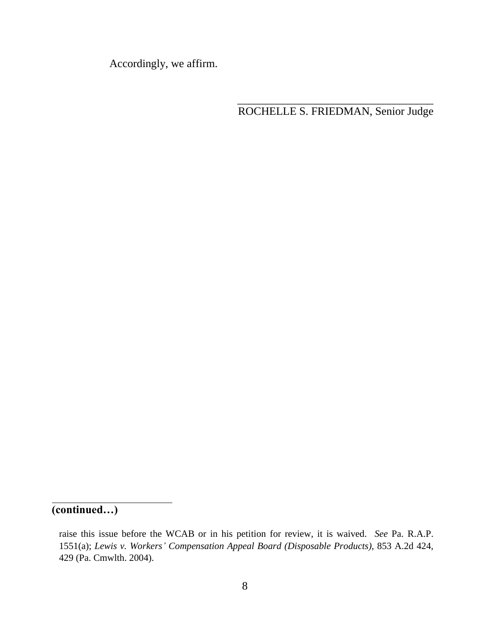Accordingly, we affirm.

\_\_\_\_\_\_\_\_\_\_\_\_\_\_\_\_\_\_\_\_\_\_\_\_\_\_\_\_\_\_\_\_\_\_\_ ROCHELLE S. FRIEDMAN, Senior Judge

**(continued…)**

 $\overline{a}$ 

raise this issue before the WCAB or in his petition for review, it is waived. *See* Pa. R.A.P. 1551(a); *Lewis v. Workers' Compensation Appeal Board (Disposable Products)*, 853 A.2d 424, 429 (Pa. Cmwlth. 2004).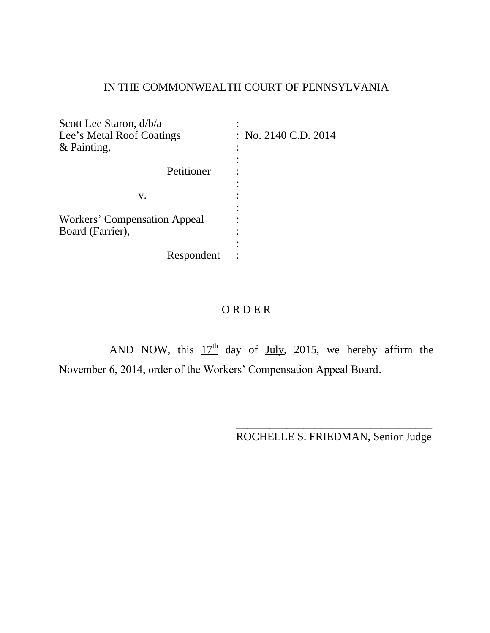# IN THE COMMONWEALTH COURT OF PENNSYLVANIA

| Scott Lee Staron, d/b/a      |                      |
|------------------------------|----------------------|
| Lee's Metal Roof Coatings    | : No. 2140 C.D. 2014 |
| & Painting,                  |                      |
|                              |                      |
| Petitioner                   |                      |
|                              |                      |
| v.                           |                      |
|                              |                      |
| Workers' Compensation Appeal |                      |
| Board (Farrier),             |                      |
|                              |                      |
| Respondent                   |                      |

# ORDER

AND NOW, this  $17<sup>th</sup>$  day of July, 2015, we hereby affirm the November 6, 2014, order of the Workers' Compensation Appeal Board.

> \_\_\_\_\_\_\_\_\_\_\_\_\_\_\_\_\_\_\_\_\_\_\_\_\_\_\_\_\_\_\_\_\_\_\_ ROCHELLE S. FRIEDMAN, Senior Judge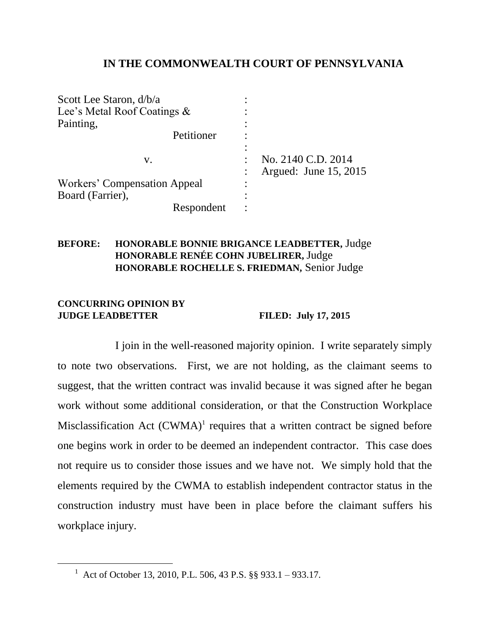## **IN THE COMMONWEALTH COURT OF PENNSYLVANIA**

| Scott Lee Staron, d/b/a      |                       |
|------------------------------|-----------------------|
| Lee's Metal Roof Coatings &  |                       |
| Painting,                    |                       |
| Petitioner                   |                       |
|                              |                       |
| V.                           | No. 2140 C.D. 2014    |
|                              | Argued: June 15, 2015 |
| Workers' Compensation Appeal |                       |
| Board (Farrier),             |                       |
| Respondent                   |                       |

### **BEFORE: HONORABLE BONNIE BRIGANCE LEADBETTER,** Judge **HONORABLE RENÉE COHN JUBELIRER,** Judge **HONORABLE ROCHELLE S. FRIEDMAN,** Senior Judge

#### **CONCURRING OPINION BY JUDGE LEADBETTER FILED: July 17, 2015**

 $\overline{a}$ 

I join in the well-reasoned majority opinion. I write separately simply to note two observations. First, we are not holding, as the claimant seems to suggest, that the written contract was invalid because it was signed after he began work without some additional consideration, or that the Construction Workplace Misclassification Act  $(CWMA)^1$  requires that a written contract be signed before one begins work in order to be deemed an independent contractor. This case does not require us to consider those issues and we have not. We simply hold that the elements required by the CWMA to establish independent contractor status in the construction industry must have been in place before the claimant suffers his workplace injury.

<sup>&</sup>lt;sup>1</sup> Act of October 13, 2010, P.L. 506, 43 P.S. §§ 933.1 – 933.17.